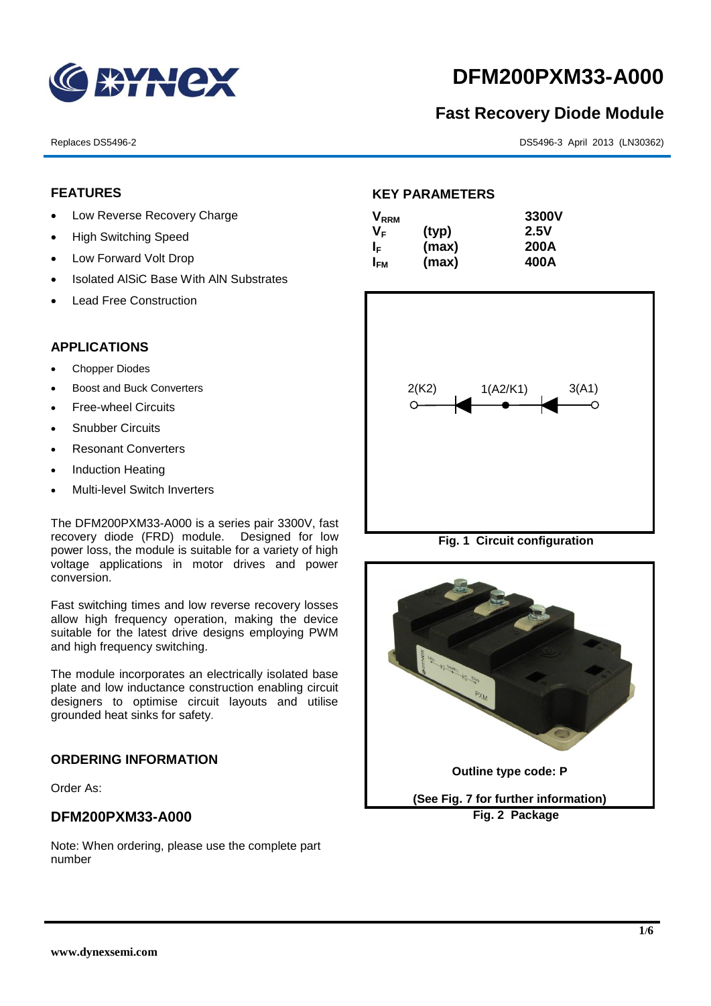

# **DFM200PXM33-A000**

## **Fast Recovery Diode Module**

Replaces DS5496-2 DS5496-3 April 2013 (LN30362)

#### **FEATURES**

- Low Reverse Recovery Charge
- High Switching Speed
- Low Forward Volt Drop
- Isolated AISiC Base With AIN Substrates
- Lead Free Construction

#### **APPLICATIONS**

- Chopper Diodes
- Boost and Buck Converters
- Free-wheel Circuits
- Snubber Circuits
- Resonant Converters
- Induction Heating
- Multi-level Switch Inverters

The DFM200PXM33-A000 is a series pair 3300V, fast recovery diode (FRD) module. Designed for low power loss, the module is suitable for a variety of high voltage applications in motor drives and power conversion.

Fast switching times and low reverse recovery losses allow high frequency operation, making the device suitable for the latest drive designs employing PWM and high frequency switching.

The module incorporates an electrically isolated base plate and low inductance construction enabling circuit designers to optimise circuit layouts and utilise grounded heat sinks for safety.

#### **ORDERING INFORMATION**

Order As:

### **DFM200PXM33-A000**

Note: When ordering, please use the complete part number

#### **KEY PARAMETERS**

| $\mathsf{V}_{\mathsf{RRM}}$ |       | 3300V |
|-----------------------------|-------|-------|
| Vғ                          | (typ) | 2.5V  |
| ΙF                          | (max) | 200A  |
| I <sub>FМ</sub>             | (max) | 400A  |



**Fig. 1 Circuit configuration**

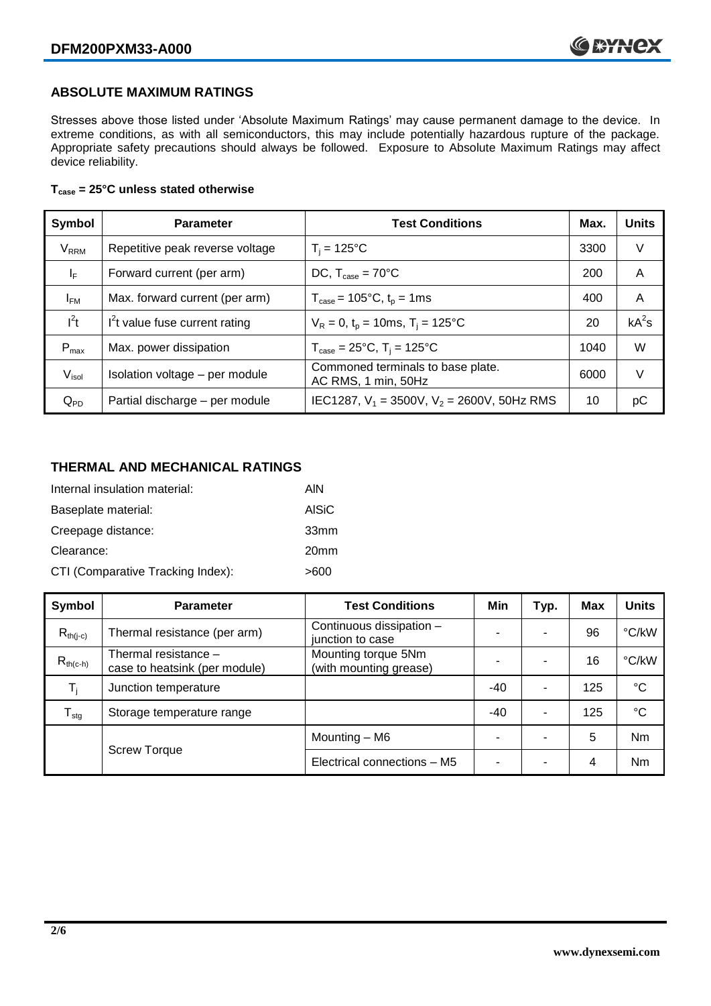#### **ABSOLUTE MAXIMUM RATINGS**

Stresses above those listed under 'Absolute Maximum Ratings' may cause permanent damage to the device. In extreme conditions, as with all semiconductors, this may include potentially hazardous rupture of the package. Appropriate safety precautions should always be followed. Exposure to Absolute Maximum Ratings may affect device reliability.

#### **Tcase = 25°C unless stated otherwise**

| Symbol                  | <b>Parameter</b>                | <b>Test Conditions</b>                                               | Max. | <b>Units</b> |
|-------------------------|---------------------------------|----------------------------------------------------------------------|------|--------------|
| <b>V</b> <sub>RRM</sub> | Repetitive peak reverse voltage | $T_i = 125$ °C                                                       | 3300 | V            |
| $\mathsf{I}_\mathsf{F}$ | Forward current (per arm)       | DC, $T_{\text{case}} = 70^{\circ}$ C                                 | 200  | A            |
| $I_{FM}$                | Max. forward current (per arm)  | $T_{\text{case}} = 105^{\circ}C$ , $t_p = 1ms$                       | 400  | A            |
| $I^2t$                  | $I2t$ value fuse current rating | $V_R = 0$ , $t_p = 10$ ms, $T_i = 125$ °C                            | 20   | $kA^2s$      |
| $P_{max}$               | Max. power dissipation          | $T_{\text{case}} = 25^{\circ}\text{C}$ , $T_i = 125^{\circ}\text{C}$ | 1040 | W            |
| V <sub>isol</sub>       | Isolation voltage - per module  | Commoned terminals to base plate.<br>AC RMS, 1 min, 50Hz             | 6000 | V            |
| $Q_{PD}$                | Partial discharge - per module  | IEC1287, $V_1$ = 3500V, $V_2$ = 2600V, 50Hz RMS                      | 10   | рC           |

#### **THERMAL AND MECHANICAL RATINGS**

| Internal insulation material:     | AIN              |
|-----------------------------------|------------------|
| Baseplate material:               | <b>AISiC</b>     |
| Creepage distance:                | 33 <sub>mm</sub> |
| Clearance:                        | 20 <sub>mm</sub> |
| CTI (Comparative Tracking Index): | >600             |

| Symbol           | <b>Parameter</b>                                      | <b>Test Conditions</b>                        | Min   | Typ.                     | <b>Max</b> | <b>Units</b> |
|------------------|-------------------------------------------------------|-----------------------------------------------|-------|--------------------------|------------|--------------|
| $R_{th(i-c)}$    | Thermal resistance (per arm)                          | Continuous dissipation -<br>junction to case  | -     | $\overline{\phantom{a}}$ | 96         | °C/kW        |
| $R_{th(c-h)}$    | Thermal resistance -<br>case to heatsink (per module) | Mounting torque 5Nm<br>(with mounting grease) |       |                          | 16         | °C/kW        |
| T,               | Junction temperature                                  |                                               | $-40$ | $\overline{\phantom{0}}$ | 125        | $^{\circ}C$  |
| $T_{\text{stg}}$ | Storage temperature range                             |                                               | $-40$ | $\overline{\phantom{0}}$ | 125        | °C           |
|                  | <b>Screw Torque</b>                                   | Mounting – M6                                 | -     |                          | 5          | Nm           |
|                  |                                                       | Electrical connections - M5                   | -     | -                        | 4          | Nm           |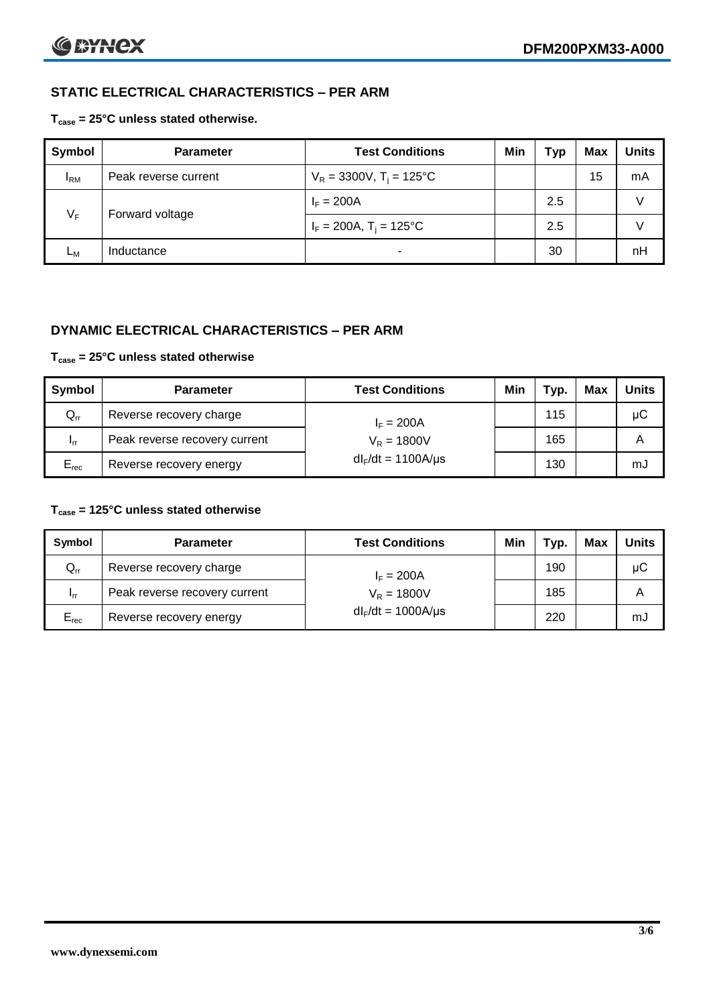### **STATIC ELECTRICAL CHARACTERISTICS – PER ARM**

#### **Tcase = 25°C unless stated otherwise.**

| Symbol          | <b>Parameter</b>     | <b>Test Conditions</b>                 | Min | Гур | <b>Max</b> | <b>Units</b> |
|-----------------|----------------------|----------------------------------------|-----|-----|------------|--------------|
| <sup>I</sup> RM | Peak reverse current | $V_R = 3300V$ , T <sub>i</sub> = 125°C |     |     | 15         | mA           |
| $V_F$           | Forward voltage      | $I_F = 200A$                           |     | 2.5 |            | V            |
|                 |                      | $I_F = 200A$ , $T_i = 125^{\circ}C$    |     | 2.5 |            |              |
| Lм              | Inductance           |                                        |     | 30  |            | nH           |

#### **DYNAMIC ELECTRICAL CHARACTERISTICS – PER ARM**

#### **Tcase = 25°C unless stated otherwise**

| Symbol          | <b>Parameter</b>                        | <b>Test Conditions</b>  | Min | Typ. | Max | <b>Units</b> |
|-----------------|-----------------------------------------|-------------------------|-----|------|-----|--------------|
| $Q_{rr}$        | Reverse recovery charge<br>$I_F = 200A$ |                         |     | 115  |     | μC           |
| 1 <sub>rr</sub> | Peak reverse recovery current           | $V_R = 1800V$           |     | 165  |     | A            |
| $E_{rec}$       | Reverse recovery energy                 | $dl_F/dt = 1100A/\mu s$ |     | 130  |     | mJ           |

#### **Tcase = 125°C unless stated otherwise**

| Symbol                     | <b>Parameter</b>              | <b>Test Conditions</b>  | Min | Typ. | Max | Units |
|----------------------------|-------------------------------|-------------------------|-----|------|-----|-------|
| $\mathsf{Q}_{\mathsf{rr}}$ | Reverse recovery charge       | $I_F = 200A$            |     | 190  |     | μC    |
| - Irr                      | Peak reverse recovery current | $V_R = 1800V$           |     | 185  |     | А     |
| $E_{rec}$                  | Reverse recovery energy       | $dl_F/dt = 1000A/\mu s$ |     | 220  |     | mJ    |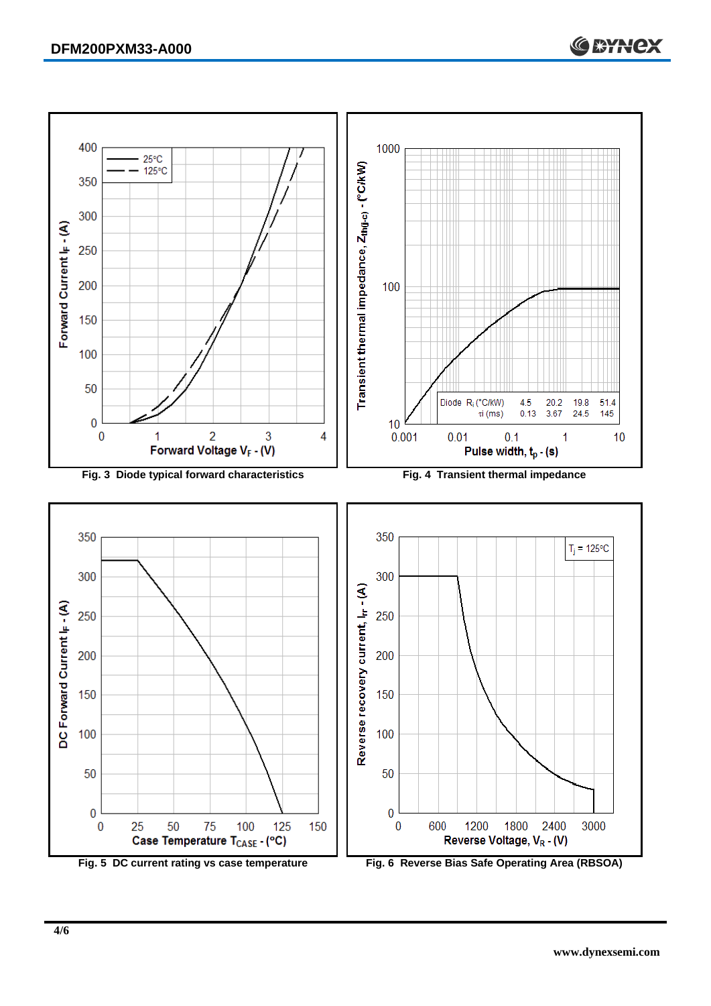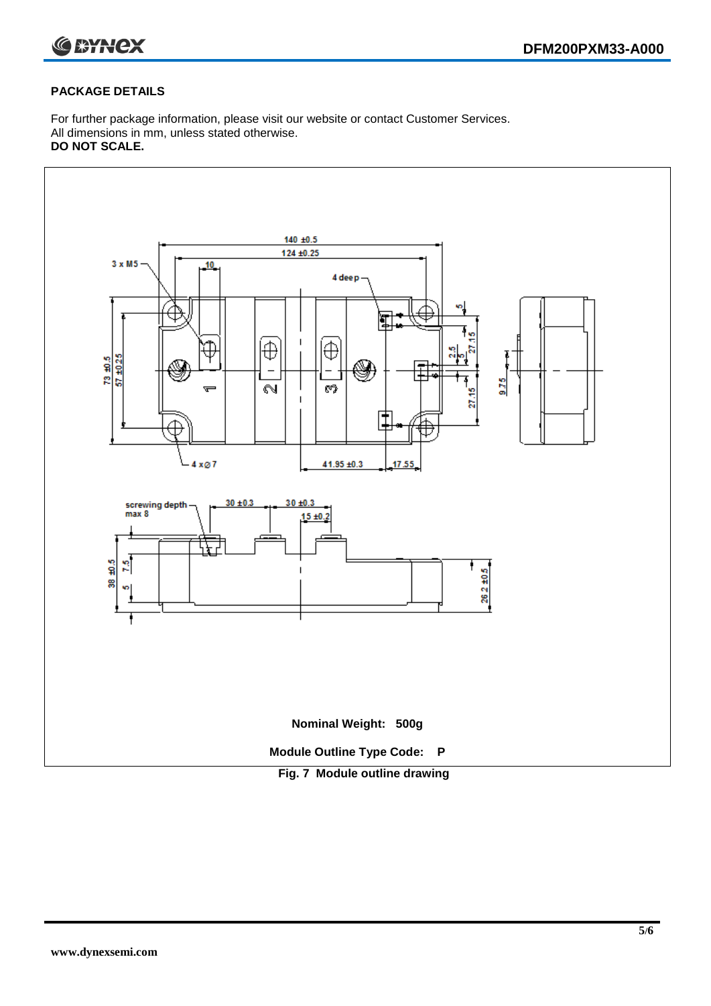

#### **PACKAGE DETAILS**

For further package information, please visit our website or contact Customer Services. All dimensions in mm, unless stated otherwise. **DO NOT SCALE.**